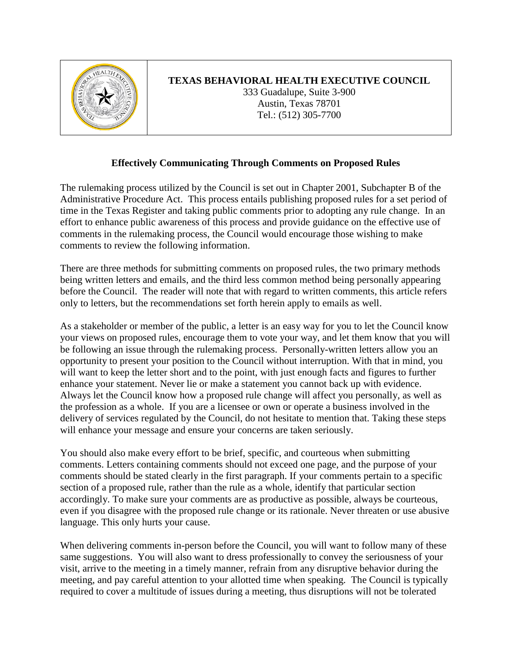

## **TEXAS BEHAVIORAL HEALTH EXECUTIVE COUNCIL**

333 Guadalupe, Suite 3-900 Austin, Texas 78701 Tel.: (512) 305-7700

## **Effectively Communicating Through Comments on Proposed Rules**

The rulemaking process utilized by the Council is set out in Chapter 2001, Subchapter B of the Administrative Procedure Act. This process entails publishing proposed rules for a set period of time in the Texas Register and taking public comments prior to adopting any rule change. In an effort to enhance public awareness of this process and provide guidance on the effective use of comments in the rulemaking process, the Council would encourage those wishing to make comments to review the following information.

There are three methods for submitting comments on proposed rules, the two primary methods being written letters and emails, and the third less common method being personally appearing before the Council. The reader will note that with regard to written comments, this article refers only to letters, but the recommendations set forth herein apply to emails as well.

As a stakeholder or member of the public, a letter is an easy way for you to let the Council know your views on proposed rules, encourage them to vote your way, and let them know that you will be following an issue through the rulemaking process. Personally-written letters allow you an opportunity to present your position to the Council without interruption. With that in mind, you will want to keep the letter short and to the point, with just enough facts and figures to further enhance your statement. Never lie or make a statement you cannot back up with evidence. Always let the Council know how a proposed rule change will affect you personally, as well as the profession as a whole. If you are a licensee or own or operate a business involved in the delivery of services regulated by the Council, do not hesitate to mention that. Taking these steps will enhance your message and ensure your concerns are taken seriously.

You should also make every effort to be brief, specific, and courteous when submitting comments. Letters containing comments should not exceed one page, and the purpose of your comments should be stated clearly in the first paragraph. If your comments pertain to a specific section of a proposed rule, rather than the rule as a whole, identify that particular section accordingly. To make sure your comments are as productive as possible, always be courteous, even if you disagree with the proposed rule change or its rationale. Never threaten or use abusive language. This only hurts your cause.

When delivering comments in-person before the Council, you will want to follow many of these same suggestions. You will also want to dress professionally to convey the seriousness of your visit, arrive to the meeting in a timely manner, refrain from any disruptive behavior during the meeting, and pay careful attention to your allotted time when speaking. The Council is typically required to cover a multitude of issues during a meeting, thus disruptions will not be tolerated